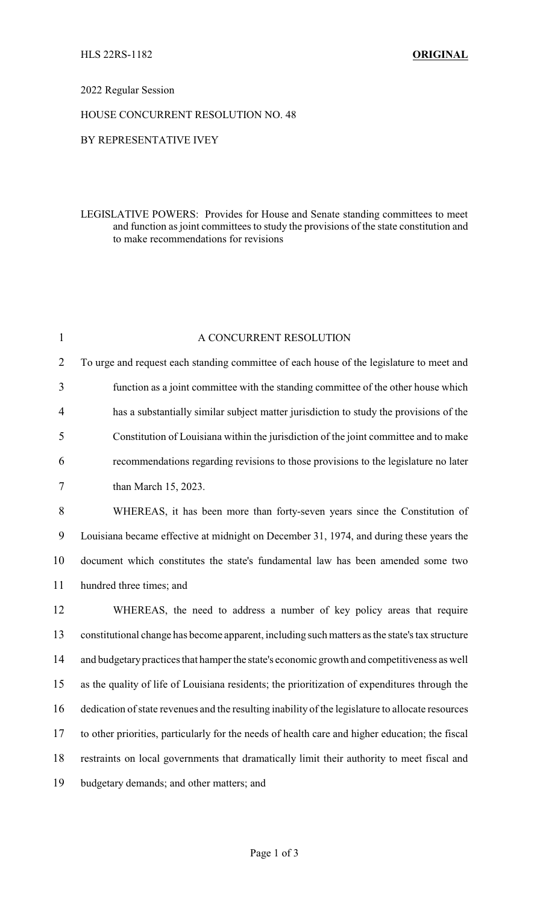# 2022 Regular Session

# HOUSE CONCURRENT RESOLUTION NO. 48

## BY REPRESENTATIVE IVEY

# LEGISLATIVE POWERS: Provides for House and Senate standing committees to meet and function as joint committees to study the provisions of the state constitution and to make recommendations for revisions

| $\mathbf{1}$   | A CONCURRENT RESOLUTION                                                                           |
|----------------|---------------------------------------------------------------------------------------------------|
| $\overline{2}$ | To urge and request each standing committee of each house of the legislature to meet and          |
| 3              | function as a joint committee with the standing committee of the other house which                |
| 4              | has a substantially similar subject matter jurisdiction to study the provisions of the            |
| 5              | Constitution of Louisiana within the jurisdiction of the joint committee and to make              |
| 6              | recommendations regarding revisions to those provisions to the legislature no later               |
| $\tau$         | than March 15, 2023.                                                                              |
| 8              | WHEREAS, it has been more than forty-seven years since the Constitution of                        |
| 9              | Louisiana became effective at midnight on December 31, 1974, and during these years the           |
| 10             | document which constitutes the state's fundamental law has been amended some two                  |
| 11             | hundred three times; and                                                                          |
| 12             | WHEREAS, the need to address a number of key policy areas that require                            |
| 13             | constitutional change has become apparent, including such matters as the state's tax structure    |
| 14             | and budgetary practices that hamper the state's economic growth and competitiveness as well       |
| 15             | as the quality of life of Louisiana residents; the prioritization of expenditures through the     |
| 16             | dedication of state revenues and the resulting inability of the legislature to allocate resources |
| 17             | to other priorities, particularly for the needs of health care and higher education; the fiscal   |
| 18             | restraints on local governments that dramatically limit their authority to meet fiscal and        |
| 19             | budgetary demands; and other matters; and                                                         |
|                |                                                                                                   |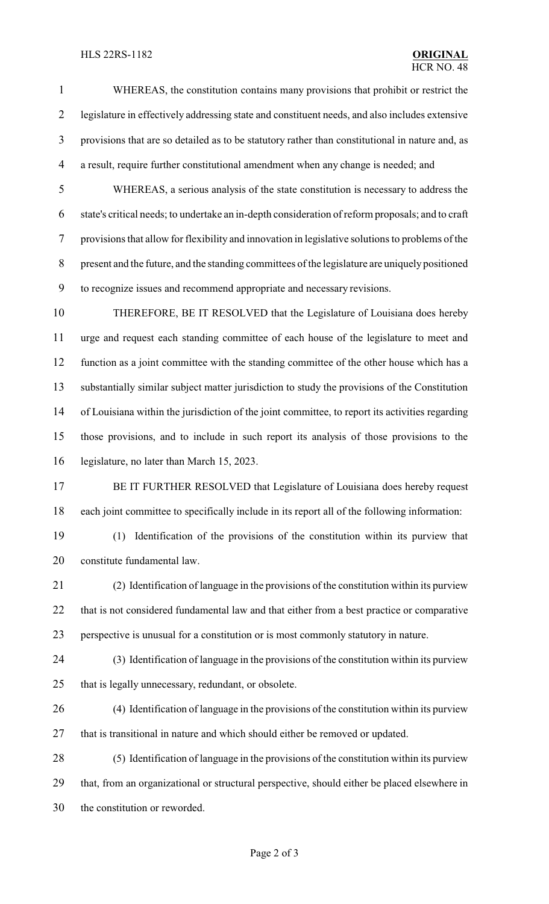### HLS 22RS-1182 **ORIGINAL**

 WHEREAS, the constitution contains many provisions that prohibit or restrict the legislature in effectively addressing state and constituent needs, and also includes extensive provisions that are so detailed as to be statutory rather than constitutional in nature and, as a result, require further constitutional amendment when any change is needed; and

 WHEREAS, a serious analysis of the state constitution is necessary to address the state's critical needs; to undertake an in-depth consideration of reform proposals; and to craft provisions that allow for flexibility and innovation in legislative solutions to problems of the present and the future, and the standing committees of the legislature are uniquely positioned to recognize issues and recommend appropriate and necessary revisions.

 THEREFORE, BE IT RESOLVED that the Legislature of Louisiana does hereby urge and request each standing committee of each house of the legislature to meet and function as a joint committee with the standing committee of the other house which has a substantially similar subject matter jurisdiction to study the provisions of the Constitution of Louisiana within the jurisdiction of the joint committee, to report its activities regarding those provisions, and to include in such report its analysis of those provisions to the legislature, no later than March 15, 2023.

- 17 BE IT FURTHER RESOLVED that Legislature of Louisiana does hereby request each joint committee to specifically include in its report all of the following information:
- (1) Identification of the provisions of the constitution within its purview that constitute fundamental law.
- (2) Identification of language in the provisions of the constitution within its purview that is not considered fundamental law and that either from a best practice or comparative perspective is unusual for a constitution or is most commonly statutory in nature.
- (3) Identification of language in the provisions of the constitution within its purview that is legally unnecessary, redundant, or obsolete.
- (4) Identification of language in the provisions of the constitution within its purview that is transitional in nature and which should either be removed or updated.
- (5) Identification of language in the provisions of the constitution within its purview that, from an organizational or structural perspective, should either be placed elsewhere in the constitution or reworded.